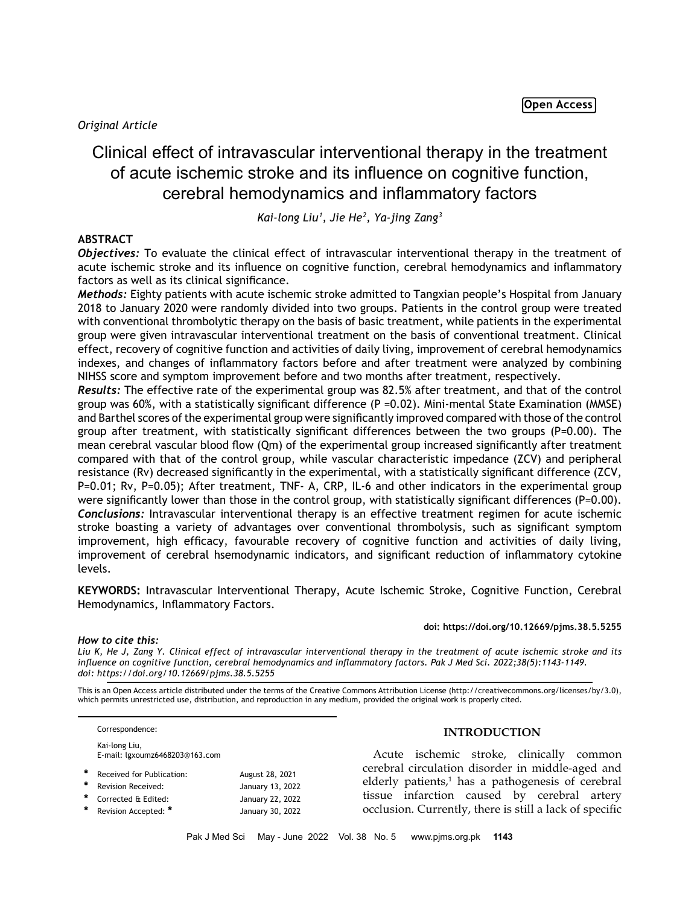# *Original Article*

# Clinical effect of intravascular interventional therapy in the treatment of acute ischemic stroke and its influence on cognitive function, cerebral hemodynamics and inflammatory factors

*Kai-long Liu1 , Jie He2 , Ya-jing Zang3*

# **ABSTRACT**

*Objectives:* To evaluate the clinical effect of intravascular interventional therapy in the treatment of acute ischemic stroke and its influence on cognitive function, cerebral hemodynamics and inflammatory factors as well as its clinical significance.

*Methods:* Eighty patients with acute ischemic stroke admitted to Tangxian people's Hospital from January 2018 to January 2020 were randomly divided into two groups. Patients in the control group were treated with conventional thrombolytic therapy on the basis of basic treatment, while patients in the experimental group were given intravascular interventional treatment on the basis of conventional treatment. Clinical effect, recovery of cognitive function and activities of daily living, improvement of cerebral hemodynamics indexes, and changes of inflammatory factors before and after treatment were analyzed by combining NIHSS score and symptom improvement before and two months after treatment, respectively.

*Results:* The effective rate of the experimental group was 82.5% after treatment, and that of the control group was 60%, with a statistically significant difference (P =0.02). Mini-mental State Examination (MMSE) and Barthel scores of the experimental group were significantly improved compared with those of the control group after treatment, with statistically significant differences between the two groups (P=0.00). The mean cerebral vascular blood flow (Qm) of the experimental group increased significantly after treatment compared with that of the control group, while vascular characteristic impedance (ZCV) and peripheral resistance (Rv) decreased significantly in the experimental, with a statistically significant difference (ZCV, P=0.01; Rv, P=0.05); After treatment, TNF- A, CRP, IL-6 and other indicators in the experimental group were significantly lower than those in the control group, with statistically significant differences (P=0.00). *Conclusions:* Intravascular interventional therapy is an effective treatment regimen for acute ischemic stroke boasting a variety of advantages over conventional thrombolysis, such as significant symptom improvement, high efficacy, favourable recovery of cognitive function and activities of daily living, improvement of cerebral hsemodynamic indicators, and significant reduction of inflammatory cytokine levels.

**KEYWORDS:** Intravascular Interventional Therapy, Acute Ischemic Stroke, Cognitive Function, Cerebral Hemodynamics, Inflammatory Factors.

#### **doi: https://doi.org/10.12669/pjms.38.5.5255**

# *How to cite this:*

*Liu K, He J, Zang Y. Clinical effect of intravascular interventional therapy in the treatment of acute ischemic stroke and its influence on cognitive function, cerebral hemodynamics and inflammatory factors. Pak J Med Sci. 2022;38(5):1143-1149. doi: https://doi.org/10.12669/pjms.38.5.5255*

This is an Open Access article distributed under the terms of the Creative Commons Attribution License (http://creativecommons.org/licenses/by/3.0), which permits unrestricted use, distribution, and reproduction in any medium, provided the original work is properly cited.

Correspondence: Kai-long Liu,

E-mail: lgxoumz6468203@163.com

\* Received for Publication: August 28, 2021<br>\* Received Research: August 28, 2022  **\*** Revision Received: January 13, 2022  **\*** Corrected & Edited: January 22, 2022  **\*** Revision Accepted: **\*** January 30, 2022

# **INTRODUCTION**

Acute ischemic stroke, clinically common cerebral circulation disorder in middle-aged and elderly patients,<sup>1</sup> has a pathogenesis of cerebral tissue infarction caused by cerebral artery occlusion. Currently, there is still a lack of specific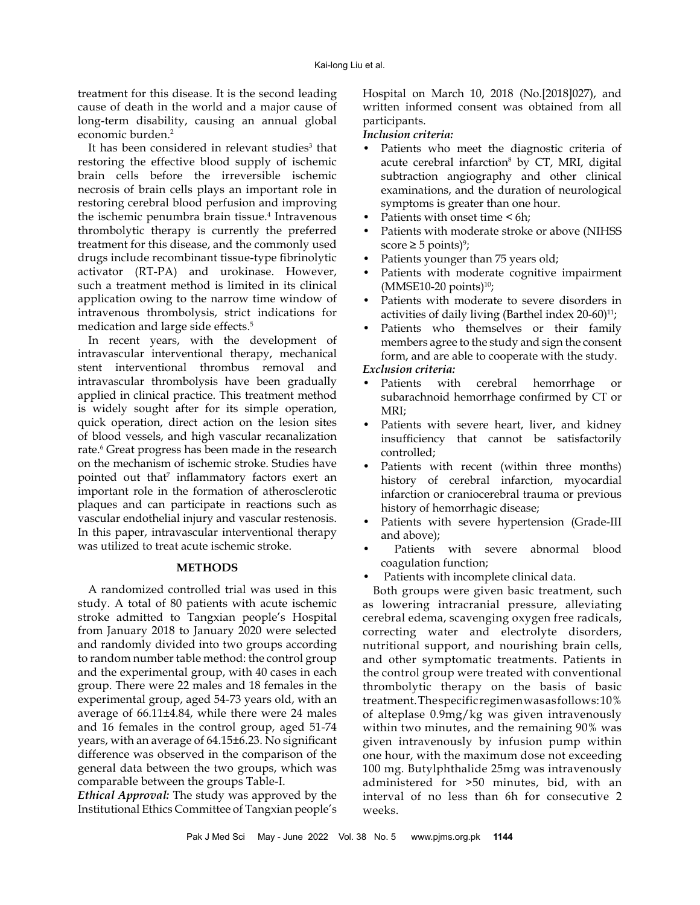treatment for this disease. It is the second leading cause of death in the world and a major cause of long-term disability, causing an annual global economic burden.2

It has been considered in relevant studies<sup>3</sup> that restoring the effective blood supply of ischemic brain cells before the irreversible ischemic necrosis of brain cells plays an important role in restoring cerebral blood perfusion and improving the ischemic penumbra brain tissue.<sup>4</sup> Intravenous thrombolytic therapy is currently the preferred treatment for this disease, and the commonly used drugs include recombinant tissue-type fibrinolytic activator (RT-PA) and urokinase. However, such a treatment method is limited in its clinical application owing to the narrow time window of intravenous thrombolysis, strict indications for medication and large side effects.5

In recent years, with the development of intravascular interventional therapy, mechanical stent interventional thrombus removal and intravascular thrombolysis have been gradually applied in clinical practice. This treatment method is widely sought after for its simple operation, quick operation, direct action on the lesion sites of blood vessels, and high vascular recanalization rate.<sup>6</sup> Great progress has been made in the research on the mechanism of ischemic stroke. Studies have pointed out that<sup>7</sup> inflammatory factors exert an important role in the formation of atherosclerotic plaques and can participate in reactions such as vascular endothelial injury and vascular restenosis. In this paper, intravascular interventional therapy was utilized to treat acute ischemic stroke.

## **METHODS**

A randomized controlled trial was used in this study. A total of 80 patients with acute ischemic stroke admitted to Tangxian people's Hospital from January 2018 to January 2020 were selected and randomly divided into two groups according to random number table method: the control group and the experimental group, with 40 cases in each group. There were 22 males and 18 females in the experimental group, aged 54-73 years old, with an average of 66.11±4.84, while there were 24 males and 16 females in the control group, aged 51-74 years, with an average of 64.15±6.23. No significant difference was observed in the comparison of the general data between the two groups, which was comparable between the groups Table-I.

*Ethical Approval:* The study was approved by the Institutional Ethics Committee of Tangxian people's Hospital on March 10, 2018 (No.[2018]027), and written informed consent was obtained from all participants.

# *Inclusion criteria:*

- Patients who meet the diagnostic criteria of acute cerebral infarction<sup>8</sup> by CT, MRI, digital subtraction angiography and other clinical examinations, and the duration of neurological symptoms is greater than one hour.
- Patients with onset time < 6h:
- Patients with moderate stroke or above (NIHSS  $score \geq 5$  points)<sup>9</sup>;
- Patients younger than 75 years old;
- Patients with moderate cognitive impairment  $(MMSE10-20$  points)<sup>10</sup>;
- Patients with moderate to severe disorders in activities of daily living (Barthel index  $20-60$ )<sup>11</sup>;
- Patients who themselves or their family members agree to the study and sign the consent form, and are able to cooperate with the study.

# *Exclusion criteria:*

- Patients with cerebral hemorrhage or subarachnoid hemorrhage confirmed by CT or MRI;
- Patients with severe heart, liver, and kidney insufficiency that cannot be satisfactorily controlled;
- Patients with recent (within three months) history of cerebral infarction, myocardial infarction or craniocerebral trauma or previous history of hemorrhagic disease;
- Patients with severe hypertension (Grade-III and above);
- Patients with severe abnormal blood coagulation function;
- Patients with incomplete clinical data.

Both groups were given basic treatment, such as lowering intracranial pressure, alleviating cerebral edema, scavenging oxygen free radicals, correcting water and electrolyte disorders, nutritional support, and nourishing brain cells, and other symptomatic treatments. Patients in the control group were treated with conventional thrombolytic therapy on the basis of basic treatment. The specific regimen was as follows: 10% of alteplase 0.9mg/kg was given intravenously within two minutes, and the remaining 90% was given intravenously by infusion pump within one hour, with the maximum dose not exceeding 100 mg. Butylphthalide 25mg was intravenously administered for >50 minutes, bid, with an interval of no less than 6h for consecutive 2 weeks.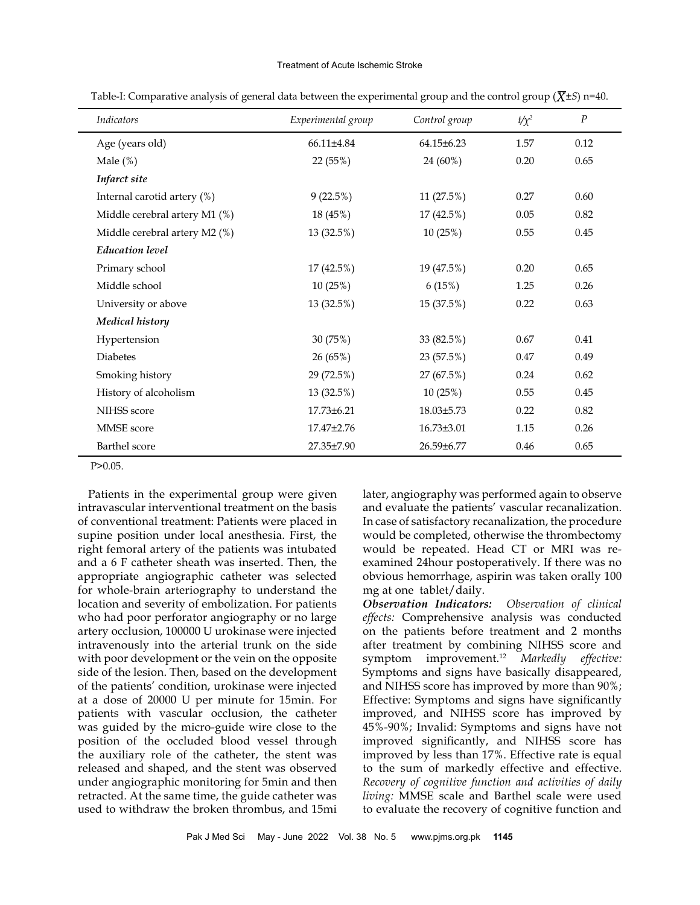#### Treatment of Acute Ischemic Stroke

|                  |                    |               | $\boldsymbol{P}$ |
|------------------|--------------------|---------------|------------------|
| $66.11\pm4.84$   | $64.15 \pm 6.23$   | 1.57          | 0.12             |
| 22 (55%)         | 24 (60%)           | 0.20          | 0.65             |
|                  |                    |               |                  |
| 9(22.5%)         | 11 (27.5%)         | 0.27          | 0.60             |
| 18 (45%)         | 17 (42.5%)         | 0.05          | 0.82             |
| 13 (32.5%)       | 10(25%)            | 0.55          | 0.45             |
|                  |                    |               |                  |
| 17 (42.5%)       | 19 (47.5%)         | 0.20          | 0.65             |
| 10(25%)          | 6(15%)             | 1.25          | 0.26             |
| 13 (32.5%)       | 15 (37.5%)         | 0.22          | 0.63             |
|                  |                    |               |                  |
| 30 (75%)         | 33 (82.5%)         | 0.67          | 0.41             |
| 26 (65%)         | 23 (57.5%)         | 0.47          | 0.49             |
| 29 (72.5%)       | 27 (67.5%)         | 0.24          | 0.62             |
| 13 (32.5%)       | 10(25%)            | 0.55          | 0.45             |
| 17.73±6.21       | 18.03±5.73         | 0.22          | 0.82             |
| $17.47 \pm 2.76$ | $16.73 \pm 3.01$   | 1.15          | 0.26             |
| 27.35±7.90       | $26.59 \pm 6.77$   | 0.46          | 0.65             |
|                  | Experimental group | Control group | $t/\chi^2$       |

Table-I: Comparative analysis of general data between the experimental group and the control group ( $\overline{X}$ ±S) n=40.

P>0.05.

Patients in the experimental group were given intravascular interventional treatment on the basis of conventional treatment: Patients were placed in supine position under local anesthesia. First, the right femoral artery of the patients was intubated and a 6 F catheter sheath was inserted. Then, the appropriate angiographic catheter was selected for whole-brain arteriography to understand the location and severity of embolization. For patients who had poor perforator angiography or no large artery occlusion, 100000 U urokinase were injected intravenously into the arterial trunk on the side with poor development or the vein on the opposite side of the lesion. Then, based on the development of the patients' condition, urokinase were injected at a dose of 20000 U per minute for 15min. For patients with vascular occlusion, the catheter was guided by the micro-guide wire close to the position of the occluded blood vessel through the auxiliary role of the catheter, the stent was released and shaped, and the stent was observed under angiographic monitoring for 5min and then retracted. At the same time, the guide catheter was used to withdraw the broken thrombus, and 15mi later, angiography was performed again to observe and evaluate the patients' vascular recanalization. In case of satisfactory recanalization, the procedure would be completed, otherwise the thrombectomy would be repeated. Head CT or MRI was reexamined 24hour postoperatively. If there was no obvious hemorrhage, aspirin was taken orally 100 mg at one tablet/daily.

*Observation Indicators: Observation of clinical effects:* Comprehensive analysis was conducted on the patients before treatment and 2 months after treatment by combining NIHSS score and symptom improvement.12 *Markedly effective:* Symptoms and signs have basically disappeared, and NIHSS score has improved by more than 90%; Effective: Symptoms and signs have significantly improved, and NIHSS score has improved by 45%-90%; Invalid: Symptoms and signs have not improved significantly, and NIHSS score has improved by less than 17%. Effective rate is equal to the sum of markedly effective and effective. *Recovery of cognitive function and activities of daily living:* MMSE scale and Barthel scale were used to evaluate the recovery of cognitive function and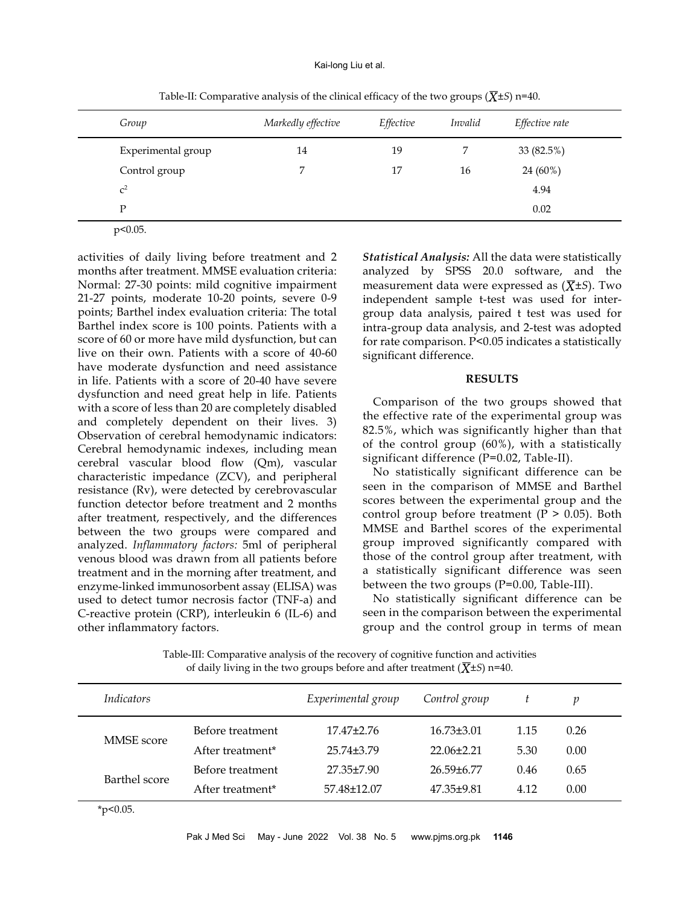| Group              | Markedly effective | Effective | <i>Invalid</i> | Effective rate |
|--------------------|--------------------|-----------|----------------|----------------|
| Experimental group | 14                 | 19        |                | 33 (82.5%)     |
| Control group      |                    | 17        | 16             | 24 (60%)       |
| $C^2$              |                    |           |                | 4.94           |
| P                  |                    |           |                | 0.02           |

Table-II: Comparative analysis of the clinical efficacy of the two groups  $(\overline{X} \pm S)$  n=40.

 $p<0.05$ .

activities of daily living before treatment and 2 months after treatment. MMSE evaluation criteria: Normal: 27-30 points: mild cognitive impairment 21-27 points, moderate 10-20 points, severe 0-9 points; Barthel index evaluation criteria: The total Barthel index score is 100 points. Patients with a score of 60 or more have mild dysfunction, but can live on their own. Patients with a score of 40-60 have moderate dysfunction and need assistance in life. Patients with a score of 20-40 have severe dysfunction and need great help in life. Patients with a score of less than 20 are completely disabled and completely dependent on their lives. 3) Observation of cerebral hemodynamic indicators: Cerebral hemodynamic indexes, including mean cerebral vascular blood flow (Qm), vascular characteristic impedance (ZCV), and peripheral resistance (Rv), were detected by cerebrovascular function detector before treatment and 2 months after treatment, respectively, and the differences between the two groups were compared and analyzed. *Inflammatory factors:* 5ml of peripheral venous blood was drawn from all patients before treatment and in the morning after treatment, and enzyme-linked immunosorbent assay (ELISA) was used to detect tumor necrosis factor (TNF-a) and C-reactive protein (CRP), interleukin 6 (IL-6) and other inflammatory factors.

*Statistical Analysis:* All the data were statistically analyzed by SPSS 20.0 software, and the measurement data were expressed as  $(\overline{X} \pm S)$ . Two independent sample t-test was used for intergroup data analysis, paired t test was used for intra-group data analysis, and 2-test was adopted for rate comparison. P<0.05 indicates a statistically significant difference.

### **RESULTS**

Comparison of the two groups showed that the effective rate of the experimental group was 82.5%, which was significantly higher than that of the control group (60%), with a statistically significant difference (P=0.02, Table-II).

No statistically significant difference can be seen in the comparison of MMSE and Barthel scores between the experimental group and the control group before treatment ( $P > 0.05$ ). Both MMSE and Barthel scores of the experimental group improved significantly compared with those of the control group after treatment, with a statistically significant difference was seen between the two groups (P=0.00, Table-III).

No statistically significant difference can be seen in the comparison between the experimental group and the control group in terms of mean

Table-III: Comparative analysis of the recovery of cognitive function and activities of daily living in the two groups before and after treatment  $(\overline{X} \pm S)$  n=40.

| <i>Indicators</i> |                              | Experimental group | Control group  |      |      |  |
|-------------------|------------------------------|--------------------|----------------|------|------|--|
| <b>MMSE</b> score | Before treatment             | $17.47 \pm 2.76$   | $16.73\pm3.01$ | 1.15 | 0.26 |  |
|                   | After treatment*             | 25.74+3.79         | 22.06+2.21     | 5.30 | 0.00 |  |
| Barthel score     | Before treatment             | 27.35+7.90         | 26.59+6.77     | 0.46 | 0.65 |  |
|                   | After treatment <sup>*</sup> | 57.48±12.07        | 47.35+9.81     | 4.12 | 0.00 |  |

 $*p<0.05$ .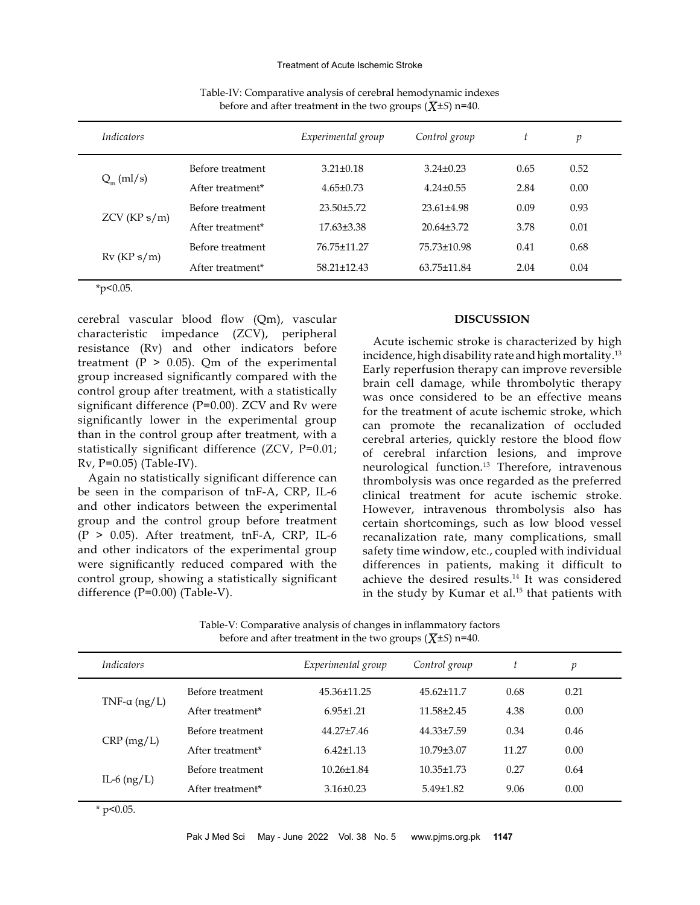| <i>Indicators</i> |                  | Experimental group | Control group     | t    | p    |
|-------------------|------------------|--------------------|-------------------|------|------|
|                   | Before treatment | $3.21 \pm 0.18$    | $3.24 \pm 0.23$   | 0.65 | 0.52 |
| $Q_{m}$ (ml/s)    | After treatment* | $4.65 \pm 0.73$    | $4.24 \pm 0.55$   | 2.84 | 0.00 |
|                   | Before treatment | $23.50\pm5.72$     | $23.61 + 4.98$    | 0.09 | 0.93 |
| ZCV(KPs/m)        | After treatment* | $17.63\pm3.38$     | $20.64\pm3.72$    | 3.78 | 0.01 |
| $Rv$ (KP s/m)     | Before treatment | 76.75±11.27        | 75.73±10.98       | 0.41 | 0.68 |
|                   | After treatment* | $58.21 \pm 12.43$  | $63.75 \pm 11.84$ | 2.04 | 0.04 |

Table-IV: Comparative analysis of cerebral hemodynamic indexes before and after treatment in the two groups  $(\overline{X} \pm S)$  n=40.

\*p<0.05.

cerebral vascular blood flow (Qm), vascular characteristic impedance (ZCV), peripheral resistance (Rv) and other indicators before treatment ( $P > 0.05$ ). Qm of the experimental group increased significantly compared with the control group after treatment, with a statistically significant difference (P=0.00). ZCV and Rv were significantly lower in the experimental group than in the control group after treatment, with a statistically significant difference (ZCV, P=0.01; Rv, P=0.05) (Table-IV).

Again no statistically significant difference can be seen in the comparison of tnF-A, CRP, IL-6 and other indicators between the experimental group and the control group before treatment  $(P > 0.05)$ . After treatment, tnF-A, CRP, IL-6 and other indicators of the experimental group were significantly reduced compared with the control group, showing a statistically significant difference (P=0.00) (Table-V).

### **DISCUSSION**

Acute ischemic stroke is characterized by high incidence, high disability rate and high mortality.13 Early reperfusion therapy can improve reversible brain cell damage, while thrombolytic therapy was once considered to be an effective means for the treatment of acute ischemic stroke, which can promote the recanalization of occluded cerebral arteries, quickly restore the blood flow of cerebral infarction lesions, and improve neurological function.13 Therefore, intravenous thrombolysis was once regarded as the preferred clinical treatment for acute ischemic stroke. However, intravenous thrombolysis also has certain shortcomings, such as low blood vessel recanalization rate, many complications, small safety time window, etc., coupled with individual differences in patients, making it difficult to achieve the desired results.<sup>14</sup> It was considered in the study by Kumar et al.<sup>15</sup> that patients with

Table-V: Comparative analysis of changes in inflammatory factors before and after treatment in the two groups  $(\overline{X} \pm S)$  n=40.

| <i>Indicators</i>    |                              | Experimental group | Control group    |       | p    |  |
|----------------------|------------------------------|--------------------|------------------|-------|------|--|
| TNF- $\alpha$ (ng/L) | Before treatment             | 45.36±11.25        | $45.62 + 11.7$   | 0.68  | 0.21 |  |
|                      | After treatment*             | $6.95 \pm 1.21$    | $11.58 + 2.45$   | 4.38  | 0.00 |  |
| $CRP$ (mg/L)         | Before treatment             | 44.27+7.46         | 44.33±7.59       | 0.34  | 0.46 |  |
|                      | After treatment <sup>*</sup> | $6.42 \pm 1.13$    | $10.79 + 3.07$   | 11.27 | 0.00 |  |
| IL-6 $(ng/L)$        | Before treatment             | $10.26 \pm 1.84$   | $10.35 \pm 1.73$ | 0.27  | 0.64 |  |
|                      | After treatment*             | $3.16 \pm 0.23$    | $5.49 \pm 1.82$  | 9.06  | 0.00 |  |

 $*$  p<0.05.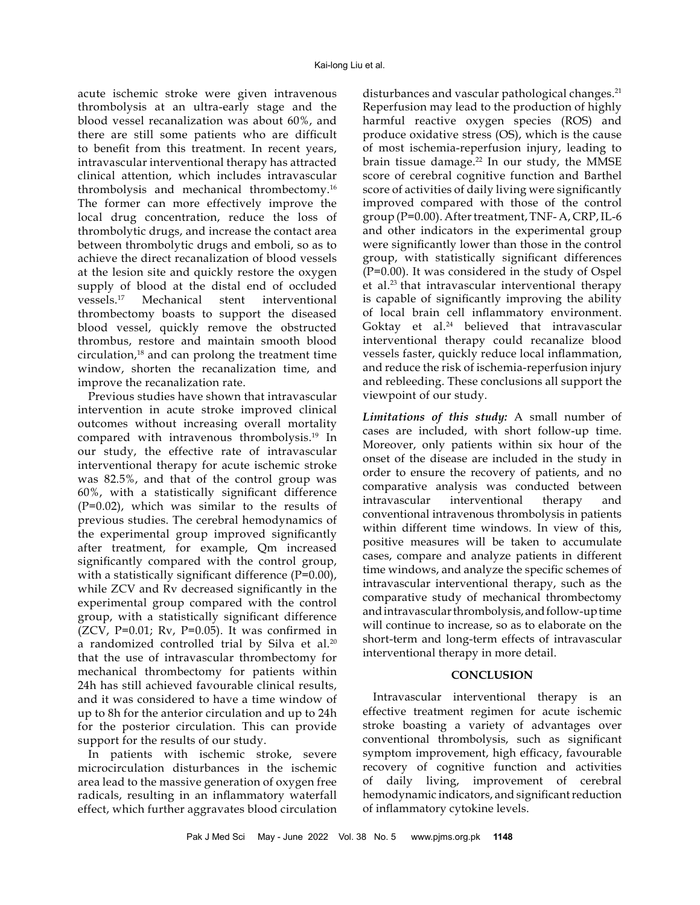acute ischemic stroke were given intravenous thrombolysis at an ultra-early stage and the blood vessel recanalization was about 60%, and there are still some patients who are difficult to benefit from this treatment. In recent years, intravascular interventional therapy has attracted clinical attention, which includes intravascular thrombolysis and mechanical thrombectomy.16 The former can more effectively improve the local drug concentration, reduce the loss of thrombolytic drugs, and increase the contact area between thrombolytic drugs and emboli, so as to achieve the direct recanalization of blood vessels at the lesion site and quickly restore the oxygen supply of blood at the distal end of occluded vessels.17 Mechanical stent interventional thrombectomy boasts to support the diseased blood vessel, quickly remove the obstructed thrombus, restore and maintain smooth blood circulation,<sup>18</sup> and can prolong the treatment time window, shorten the recanalization time, and improve the recanalization rate.

Previous studies have shown that intravascular intervention in acute stroke improved clinical outcomes without increasing overall mortality compared with intravenous thrombolysis.19 In our study, the effective rate of intravascular interventional therapy for acute ischemic stroke was 82.5%, and that of the control group was 60%, with a statistically significant difference (P=0.02), which was similar to the results of previous studies. The cerebral hemodynamics of the experimental group improved significantly after treatment, for example, Qm increased significantly compared with the control group, with a statistically significant difference  $(P=0.00)$ , while ZCV and Rv decreased significantly in the experimental group compared with the control group, with a statistically significant difference  $(ZCV, P=0.01; Rv, P=0.05)$ . It was confirmed in a randomized controlled trial by Silva et al.<sup>20</sup> that the use of intravascular thrombectomy for mechanical thrombectomy for patients within 24h has still achieved favourable clinical results, and it was considered to have a time window of up to 8h for the anterior circulation and up to 24h for the posterior circulation. This can provide support for the results of our study.

In patients with ischemic stroke, severe microcirculation disturbances in the ischemic area lead to the massive generation of oxygen free radicals, resulting in an inflammatory waterfall effect, which further aggravates blood circulation

disturbances and vascular pathological changes.<sup>21</sup> Reperfusion may lead to the production of highly harmful reactive oxygen species (ROS) and produce oxidative stress (OS), which is the cause of most ischemia-reperfusion injury, leading to brain tissue damage. $22$  In our study, the MMSE score of cerebral cognitive function and Barthel score of activities of daily living were significantly improved compared with those of the control group (P=0.00). After treatment, TNF- A, CRP, IL-6 and other indicators in the experimental group were significantly lower than those in the control group, with statistically significant differences (P=0.00). It was considered in the study of Ospel et al.23 that intravascular interventional therapy is capable of significantly improving the ability of local brain cell inflammatory environment. Goktay et al.<sup>24</sup> believed that intravascular interventional therapy could recanalize blood vessels faster, quickly reduce local inflammation, and reduce the risk of ischemia-reperfusion injury and rebleeding. These conclusions all support the viewpoint of our study.

*Limitations of this study:* A small number of cases are included, with short follow-up time. Moreover, only patients within six hour of the onset of the disease are included in the study in order to ensure the recovery of patients, and no comparative analysis was conducted between intravascular interventional therapy and conventional intravenous thrombolysis in patients within different time windows. In view of this, positive measures will be taken to accumulate cases, compare and analyze patients in different time windows, and analyze the specific schemes of intravascular interventional therapy, such as the comparative study of mechanical thrombectomy and intravascular thrombolysis, and follow-up time will continue to increase, so as to elaborate on the short-term and long-term effects of intravascular interventional therapy in more detail.

### **CONCLUSION**

Intravascular interventional therapy is an effective treatment regimen for acute ischemic stroke boasting a variety of advantages over conventional thrombolysis, such as significant symptom improvement, high efficacy, favourable recovery of cognitive function and activities of daily living, improvement of cerebral hemodynamic indicators, and significant reduction of inflammatory cytokine levels.